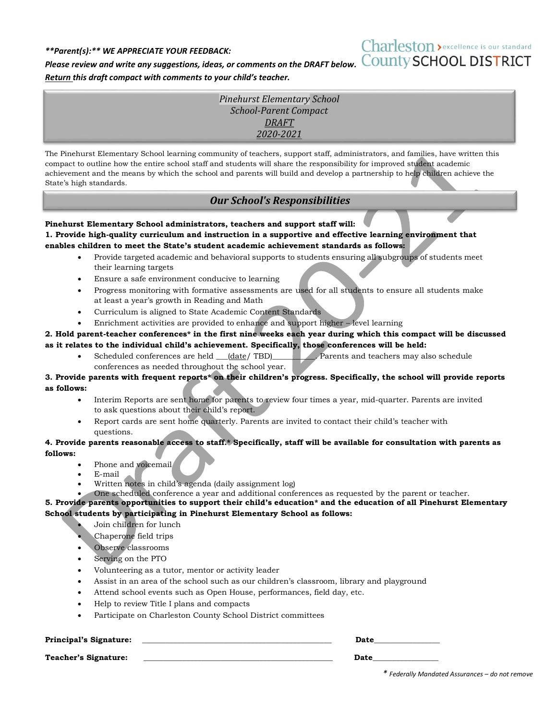## *\*\*Parent(s):\*\* WE APPRECIATE YOUR FEEDBACK:*

# Charleston > excellence is our standard

*Please review and write any suggestions, ideas, or comments on the DRAFT below.* COUNTY SCHOOL DISTRICT *Return this draft compact with comments to your child's teacher.*

> *Pinehurst Elementary School School-Parent Compact DRAFT 2020-2021*

The Pinehurst Elementary School learning community of teachers, support staff, administrators, and families, have written this compact to outline how the entire school staff and students will share the responsibility for improved student academic achievement and the means by which the school and parents will build and develop a partnership to help children achieve the State's high standards.

# *Our School's Responsibilities*

**Pinehurst Elementary School administrators, teachers and support staff will: 1. Provide high-quality curriculum and instruction in a supportive and effective learning environment that enables children to meet the State's student academic achievement standards as follows:**

- Provide targeted academic and behavioral supports to students ensuring all subgroups of students meet their learning targets
- Ensure a safe environment conducive to learning
- Progress monitoring with formative assessments are used for all students to ensure all students make at least a year's growth in Reading and Math
- Curriculum is aligned to State Academic Content Standards
- Enrichment activities are provided to enhance and support higher level learning

# **2. Hold parent-teacher conferences\* in the first nine weeks each year during which this compact will be discussed as it relates to the individual child's achievement. Specifically, those conferences will be held:**

Scheduled conferences are held  $_{\text{(date/ TBD)}}$  Parents and teachers may also schedule conferences as needed throughout the school year.

## **3. Provide parents with frequent reports\* on their children's progress. Specifically, the school will provide reports as follows:**

- Interim Reports are sent home for parents to review four times a year, mid-quarter. Parents are invited to ask questions about their child's report.
- Report cards are sent home quarterly. Parents are invited to contact their child's teacher with questions.

## **4. Provide parents reasonable access to staff.\* Specifically, staff will be available for consultation with parents as follows:**

- Phone and voicemail
- E-mail
- Written notes in child's agenda (daily assignment log)
- One scheduled conference a year and additional conferences as requested by the parent or teacher.

**5. Provide parents opportunities to support their child's education\* and the education of all Pinehurst Elementary School students by participating in Pinehurst Elementary School as follows:**

- Join children for lunch
- Chaperone field trips
- Observe classrooms
- Serving on the PTO
- Volunteering as a tutor, mentor or activity leader
- Assist in an area of the school such as our children's classroom, library and playground
- Attend school events such as Open House, performances, field day, etc.
- Help to review Title I plans and compacts
- Participate on Charleston County School District committees

### **Principal's Signature: \_\_\_\_\_\_\_\_\_\_\_\_\_\_\_\_\_\_\_\_\_\_\_\_\_\_\_\_\_\_\_\_\_\_\_\_\_\_\_\_\_\_\_\_\_\_\_\_\_ Date\_\_\_\_\_\_\_\_\_\_\_\_\_\_\_\_\_**

**Teacher's Signature: \_\_\_\_\_\_\_\_\_\_\_\_\_\_\_\_\_\_\_\_\_\_\_\_\_\_\_\_\_\_\_\_\_\_\_\_\_\_\_\_\_\_\_\_\_\_\_\_\_ Date\_\_\_\_\_\_\_\_\_\_\_\_\_\_\_\_\_**

*\* Federally Mandated Assurances – do not remove*